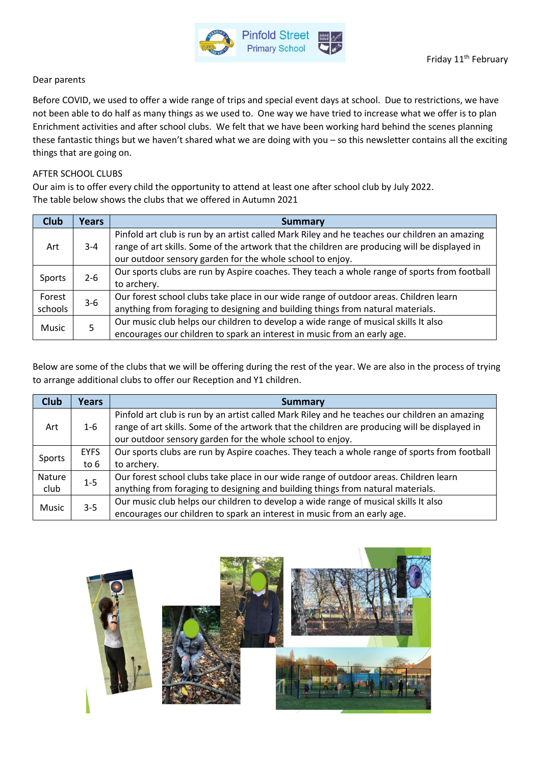

## Dear parents

Before COVID, we used to offer a wide range of trips and special event days at school. Due to restrictions, we have not been able to do half as many things as we used to. One way we have tried to increase what we offer is to plan Enrichment activities and after school clubs. We felt that we have been working hard behind the scenes planning these fantastic things but we haven't shared what we are doing with you – so this newsletter contains all the exciting things that are going on.

## AFTER SCHOOL CLUBS

Our aim is to offer every child the opportunity to attend at least one after school club by July 2022. The table below shows the clubs that we offered in Autumn 2021

| <b>Club</b>       | <b>Years</b>                                                                                                                                                         | Summary                                                                                                                                                                                                                                                     |  |  |  |  |
|-------------------|----------------------------------------------------------------------------------------------------------------------------------------------------------------------|-------------------------------------------------------------------------------------------------------------------------------------------------------------------------------------------------------------------------------------------------------------|--|--|--|--|
| Art               | $3 - 4$                                                                                                                                                              | Pinfold art club is run by an artist called Mark Riley and he teaches our children an amazing<br>range of art skills. Some of the artwork that the children are producing will be displayed in<br>our outdoor sensory garden for the whole school to enjoy. |  |  |  |  |
| Sports            | $2 - 6$                                                                                                                                                              | Our sports clubs are run by Aspire coaches. They teach a whole range of sports from football<br>to archery.                                                                                                                                                 |  |  |  |  |
| Forest<br>schools | $3-6$                                                                                                                                                                | Our forest school clubs take place in our wide range of outdoor areas. Children learn<br>anything from foraging to designing and building things from natural materials.                                                                                    |  |  |  |  |
| <b>Music</b>      | Our music club helps our children to develop a wide range of musical skills It also<br>5<br>encourages our children to spark an interest in music from an early age. |                                                                                                                                                                                                                                                             |  |  |  |  |

Below are some of the clubs that we will be offering during the rest of the year. We are also in the process of trying to arrange additional clubs to offer our Reception and Y1 children.

| <b>Club</b> | <b>Years</b> | <b>Summary</b>                                                                                                                                                                                                                                              |  |  |  |  |
|-------------|--------------|-------------------------------------------------------------------------------------------------------------------------------------------------------------------------------------------------------------------------------------------------------------|--|--|--|--|
| Art         | $1 - 6$      | Pinfold art club is run by an artist called Mark Riley and he teaches our children an amazing<br>range of art skills. Some of the artwork that the children are producing will be displayed in<br>our outdoor sensory garden for the whole school to enjoy. |  |  |  |  |
| Sports      | <b>EYFS</b>  | Our sports clubs are run by Aspire coaches. They teach a whole range of sports from football                                                                                                                                                                |  |  |  |  |
|             | to $6$       | to archery.                                                                                                                                                                                                                                                 |  |  |  |  |
| Nature      | $1 - 5$      | Our forest school clubs take place in our wide range of outdoor areas. Children learn                                                                                                                                                                       |  |  |  |  |
| club        |              | anything from foraging to designing and building things from natural materials.                                                                                                                                                                             |  |  |  |  |
| Music       | $3 - 5$      | Our music club helps our children to develop a wide range of musical skills It also                                                                                                                                                                         |  |  |  |  |
|             |              | encourages our children to spark an interest in music from an early age.                                                                                                                                                                                    |  |  |  |  |